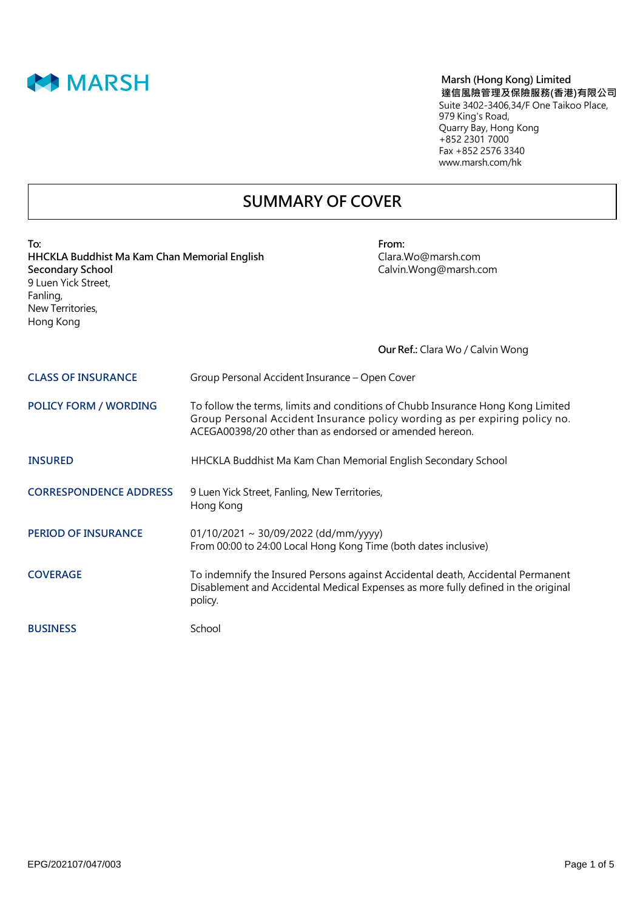

### **Marsh (Hong Kong) Limited 達信風險管理及保險服務(香港)有限公司** Suite 3402-3406,34/F One Taikoo Place, 979 King's Road, Quarry Bay, Hong Kong +852 2301 7000 Fax +852 2576 3340 www.marsh.com/hk

## **SUMMARY OF COVER**

| To:<br>HHCKLA Buddhist Ma Kam Chan Memorial English<br><b>Secondary School</b><br>9 Luen Yick Street,<br>Fanling,<br>New Territories,<br>Hong Kong |                                                                                                                                                                                                                           | From:<br>Clara.Wo@marsh.com<br>Calvin.Wong@marsh.com                                                                                                                 |
|----------------------------------------------------------------------------------------------------------------------------------------------------|---------------------------------------------------------------------------------------------------------------------------------------------------------------------------------------------------------------------------|----------------------------------------------------------------------------------------------------------------------------------------------------------------------|
|                                                                                                                                                    |                                                                                                                                                                                                                           | <b>Our Ref.: Clara Wo / Calvin Wong</b>                                                                                                                              |
| <b>CLASS OF INSURANCE</b>                                                                                                                          | Group Personal Accident Insurance - Open Cover                                                                                                                                                                            |                                                                                                                                                                      |
| <b>POLICY FORM / WORDING</b>                                                                                                                       | To follow the terms, limits and conditions of Chubb Insurance Hong Kong Limited<br>Group Personal Accident Insurance policy wording as per expiring policy no.<br>ACEGA00398/20 other than as endorsed or amended hereon. |                                                                                                                                                                      |
| <b>INSURED</b>                                                                                                                                     | HHCKLA Buddhist Ma Kam Chan Memorial English Secondary School                                                                                                                                                             |                                                                                                                                                                      |
| <b>CORRESPONDENCE ADDRESS</b>                                                                                                                      | 9 Luen Yick Street, Fanling, New Territories,<br>Hong Kong                                                                                                                                                                |                                                                                                                                                                      |
| <b>PERIOD OF INSURANCE</b>                                                                                                                         | 01/10/2021 ~ 30/09/2022 (dd/mm/yyyy)<br>From 00:00 to 24:00 Local Hong Kong Time (both dates inclusive)                                                                                                                   |                                                                                                                                                                      |
| <b>COVERAGE</b>                                                                                                                                    | policy.                                                                                                                                                                                                                   | To indemnify the Insured Persons against Accidental death, Accidental Permanent<br>Disablement and Accidental Medical Expenses as more fully defined in the original |
| <b>BUSINESS</b>                                                                                                                                    | School                                                                                                                                                                                                                    |                                                                                                                                                                      |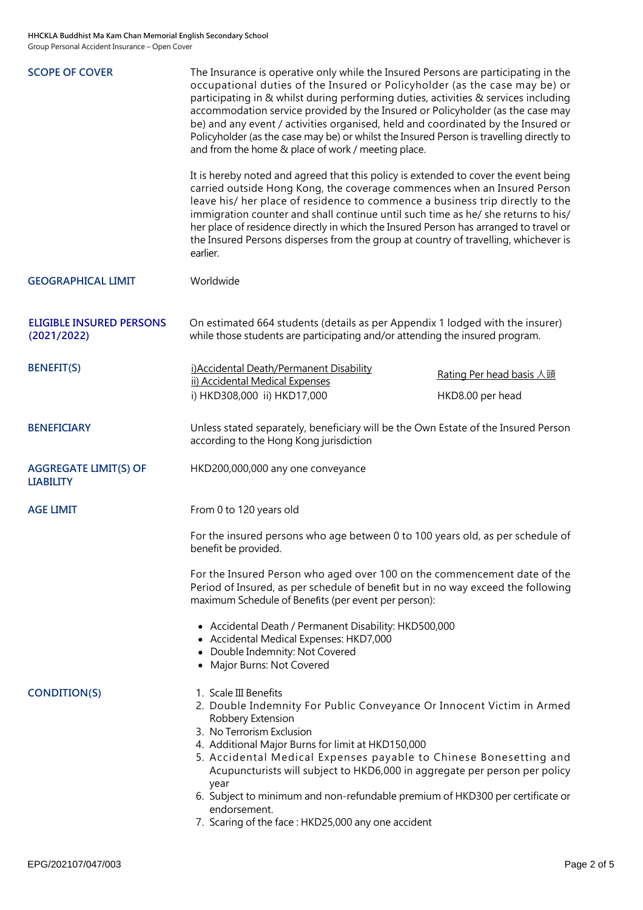| <b>SCOPE OF COVER</b>                            | The Insurance is operative only while the Insured Persons are participating in the<br>occupational duties of the Insured or Policyholder (as the case may be) or<br>participating in & whilst during performing duties, activities & services including<br>accommodation service provided by the Insured or Policyholder (as the case may<br>be) and any event / activities organised, held and coordinated by the Insured or<br>Policyholder (as the case may be) or whilst the Insured Person is travelling directly to<br>and from the home & place of work / meeting place.<br>It is hereby noted and agreed that this policy is extended to cover the event being<br>carried outside Hong Kong, the coverage commences when an Insured Person<br>leave his/ her place of residence to commence a business trip directly to the<br>immigration counter and shall continue until such time as he/ she returns to his/<br>her place of residence directly in which the Insured Person has arranged to travel or |                          |
|--------------------------------------------------|-------------------------------------------------------------------------------------------------------------------------------------------------------------------------------------------------------------------------------------------------------------------------------------------------------------------------------------------------------------------------------------------------------------------------------------------------------------------------------------------------------------------------------------------------------------------------------------------------------------------------------------------------------------------------------------------------------------------------------------------------------------------------------------------------------------------------------------------------------------------------------------------------------------------------------------------------------------------------------------------------------------------|--------------------------|
|                                                  | the Insured Persons disperses from the group at country of travelling, whichever is<br>earlier.                                                                                                                                                                                                                                                                                                                                                                                                                                                                                                                                                                                                                                                                                                                                                                                                                                                                                                                   |                          |
| <b>GEOGRAPHICAL LIMIT</b>                        | Worldwide                                                                                                                                                                                                                                                                                                                                                                                                                                                                                                                                                                                                                                                                                                                                                                                                                                                                                                                                                                                                         |                          |
| <b>ELIGIBLE INSURED PERSONS</b><br>(2021/2022)   | On estimated 664 students (details as per Appendix 1 lodged with the insurer)<br>while those students are participating and/or attending the insured program.                                                                                                                                                                                                                                                                                                                                                                                                                                                                                                                                                                                                                                                                                                                                                                                                                                                     |                          |
| <b>BENEFIT(S)</b>                                | i) Accidental Death/Permanent Disability<br>ii) Accidental Medical Expenses                                                                                                                                                                                                                                                                                                                                                                                                                                                                                                                                                                                                                                                                                                                                                                                                                                                                                                                                       | Rating Per head basis 人頭 |
|                                                  | i) HKD308,000 ii) HKD17,000                                                                                                                                                                                                                                                                                                                                                                                                                                                                                                                                                                                                                                                                                                                                                                                                                                                                                                                                                                                       | HKD8.00 per head         |
| <b>BENEFICIARY</b>                               | Unless stated separately, beneficiary will be the Own Estate of the Insured Person<br>according to the Hong Kong jurisdiction                                                                                                                                                                                                                                                                                                                                                                                                                                                                                                                                                                                                                                                                                                                                                                                                                                                                                     |                          |
| <b>AGGREGATE LIMIT(S) OF</b><br><b>LIABILITY</b> | HKD200,000,000 any one conveyance                                                                                                                                                                                                                                                                                                                                                                                                                                                                                                                                                                                                                                                                                                                                                                                                                                                                                                                                                                                 |                          |
| <b>AGE LIMIT</b>                                 | From 0 to 120 years old                                                                                                                                                                                                                                                                                                                                                                                                                                                                                                                                                                                                                                                                                                                                                                                                                                                                                                                                                                                           |                          |
|                                                  | For the insured persons who age between 0 to 100 years old, as per schedule of<br>benefit be provided.                                                                                                                                                                                                                                                                                                                                                                                                                                                                                                                                                                                                                                                                                                                                                                                                                                                                                                            |                          |
|                                                  | For the Insured Person who aged over 100 on the commencement date of the<br>Period of Insured, as per schedule of benefit but in no way exceed the following<br>maximum Schedule of Benefits (per event per person):                                                                                                                                                                                                                                                                                                                                                                                                                                                                                                                                                                                                                                                                                                                                                                                              |                          |
|                                                  | • Accidental Death / Permanent Disability: HKD500,000<br>• Accidental Medical Expenses: HKD7,000<br>Double Indemnity: Not Covered<br>• Major Burns: Not Covered                                                                                                                                                                                                                                                                                                                                                                                                                                                                                                                                                                                                                                                                                                                                                                                                                                                   |                          |
| <b>CONDITION(S)</b>                              | 1. Scale III Benefits<br>2. Double Indemnity For Public Conveyance Or Innocent Victim in Armed<br>Robbery Extension<br>3. No Terrorism Exclusion<br>4. Additional Major Burns for limit at HKD150,000<br>5. Accidental Medical Expenses payable to Chinese Bonesetting and<br>Acupuncturists will subject to HKD6,000 in aggregate per person per policy<br>year<br>6. Subject to minimum and non-refundable premium of HKD300 per certificate or<br>endorsement.<br>7. Scaring of the face: HKD25,000 any one accident                                                                                                                                                                                                                                                                                                                                                                                                                                                                                           |                          |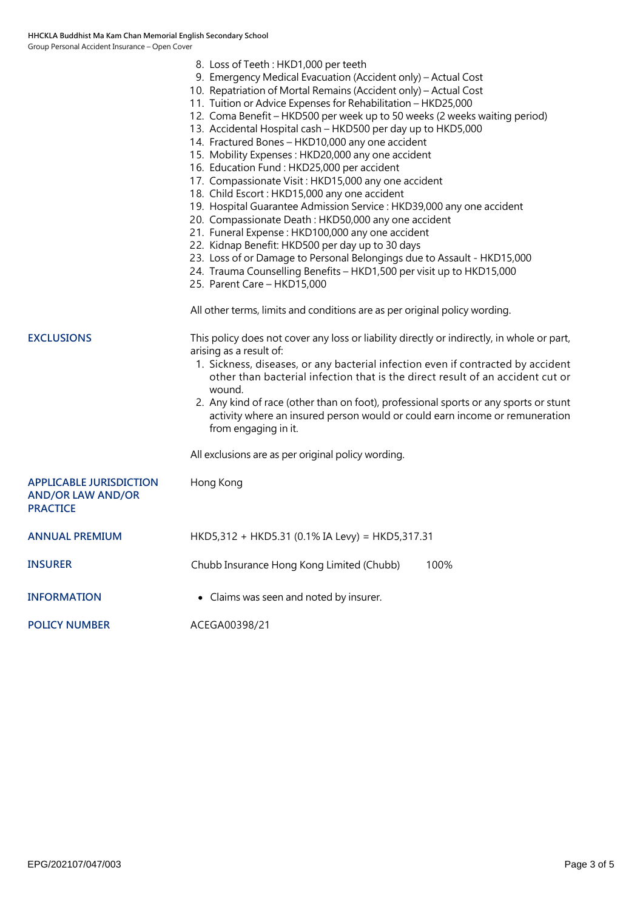|                                                                               | 8. Loss of Teeth: HKD1,000 per teeth<br>9. Emergency Medical Evacuation (Accident only) - Actual Cost<br>10. Repatriation of Mortal Remains (Accident only) – Actual Cost<br>11. Tuition or Advice Expenses for Rehabilitation - HKD25,000<br>12. Coma Benefit - HKD500 per week up to 50 weeks (2 weeks waiting period)<br>13. Accidental Hospital cash - HKD500 per day up to HKD5,000<br>14. Fractured Bones - HKD10,000 any one accident<br>15. Mobility Expenses: HKD20,000 any one accident<br>16. Education Fund: HKD25,000 per accident<br>17. Compassionate Visit: HKD15,000 any one accident<br>18. Child Escort: HKD15,000 any one accident<br>19. Hospital Guarantee Admission Service : HKD39,000 any one accident<br>20. Compassionate Death: HKD50,000 any one accident<br>21. Funeral Expense: HKD100,000 any one accident<br>22. Kidnap Benefit: HKD500 per day up to 30 days<br>23. Loss of or Damage to Personal Belongings due to Assault - HKD15,000<br>24. Trauma Counselling Benefits - HKD1,500 per visit up to HKD15,000<br>25. Parent Care - HKD15,000<br>All other terms, limits and conditions are as per original policy wording. |
|-------------------------------------------------------------------------------|----------------------------------------------------------------------------------------------------------------------------------------------------------------------------------------------------------------------------------------------------------------------------------------------------------------------------------------------------------------------------------------------------------------------------------------------------------------------------------------------------------------------------------------------------------------------------------------------------------------------------------------------------------------------------------------------------------------------------------------------------------------------------------------------------------------------------------------------------------------------------------------------------------------------------------------------------------------------------------------------------------------------------------------------------------------------------------------------------------------------------------------------------------------|
| <b>EXCLUSIONS</b>                                                             | This policy does not cover any loss or liability directly or indirectly, in whole or part,<br>arising as a result of:<br>1. Sickness, diseases, or any bacterial infection even if contracted by accident<br>other than bacterial infection that is the direct result of an accident cut or<br>wound.<br>2. Any kind of race (other than on foot), professional sports or any sports or stunt<br>activity where an insured person would or could earn income or remuneration<br>from engaging in it.<br>All exclusions are as per original policy wording.                                                                                                                                                                                                                                                                                                                                                                                                                                                                                                                                                                                                     |
| <b>APPLICABLE JURISDICTION</b><br><b>AND/OR LAW AND/OR</b><br><b>PRACTICE</b> | Hong Kong                                                                                                                                                                                                                                                                                                                                                                                                                                                                                                                                                                                                                                                                                                                                                                                                                                                                                                                                                                                                                                                                                                                                                      |
| ANNUAL PREMIUM                                                                | HKD5,312 + HKD5.31 (0.1% IA Levy) = HKD5,317.31                                                                                                                                                                                                                                                                                                                                                                                                                                                                                                                                                                                                                                                                                                                                                                                                                                                                                                                                                                                                                                                                                                                |
| <b>INSURER</b>                                                                | Chubb Insurance Hong Kong Limited (Chubb)<br>100%                                                                                                                                                                                                                                                                                                                                                                                                                                                                                                                                                                                                                                                                                                                                                                                                                                                                                                                                                                                                                                                                                                              |
| <b>INFORMATION</b>                                                            | • Claims was seen and noted by insurer.                                                                                                                                                                                                                                                                                                                                                                                                                                                                                                                                                                                                                                                                                                                                                                                                                                                                                                                                                                                                                                                                                                                        |
| <b>POLICY NUMBER</b>                                                          | ACEGA00398/21                                                                                                                                                                                                                                                                                                                                                                                                                                                                                                                                                                                                                                                                                                                                                                                                                                                                                                                                                                                                                                                                                                                                                  |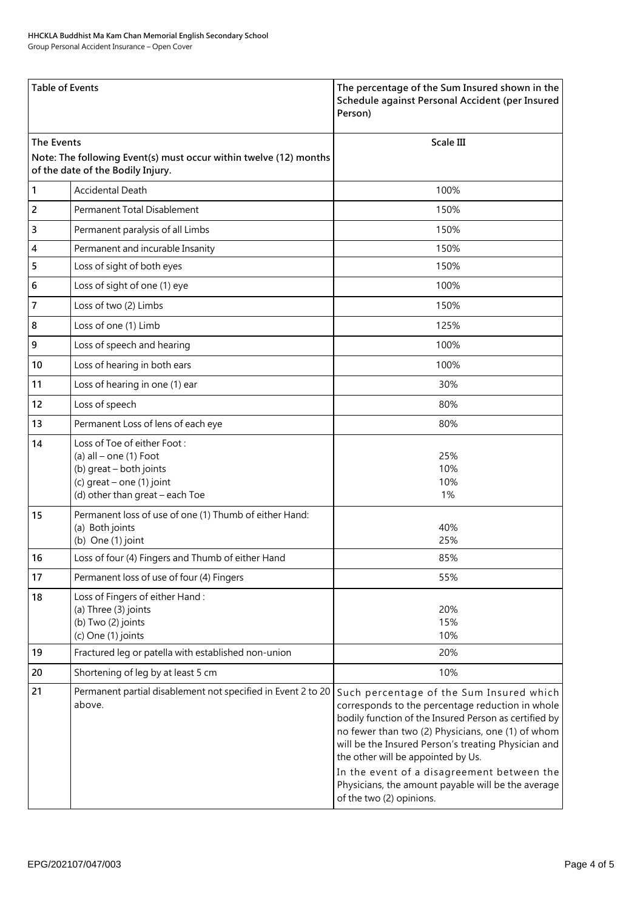Group Personal Accident Insurance – Open Cover

| <b>Table of Events</b>                                                                                               |                                                                                                                                                      | The percentage of the Sum Insured shown in the<br>Schedule against Personal Accident (per Insured<br>Person)                                                                                                                                                                                                                                                                                                                            |
|----------------------------------------------------------------------------------------------------------------------|------------------------------------------------------------------------------------------------------------------------------------------------------|-----------------------------------------------------------------------------------------------------------------------------------------------------------------------------------------------------------------------------------------------------------------------------------------------------------------------------------------------------------------------------------------------------------------------------------------|
| The Events<br>Note: The following Event(s) must occur within twelve (12) months<br>of the date of the Bodily Injury. |                                                                                                                                                      | <b>Scale III</b>                                                                                                                                                                                                                                                                                                                                                                                                                        |
| 1                                                                                                                    | <b>Accidental Death</b>                                                                                                                              | 100%                                                                                                                                                                                                                                                                                                                                                                                                                                    |
| 2                                                                                                                    | Permanent Total Disablement                                                                                                                          | 150%                                                                                                                                                                                                                                                                                                                                                                                                                                    |
| 3                                                                                                                    | Permanent paralysis of all Limbs                                                                                                                     | 150%                                                                                                                                                                                                                                                                                                                                                                                                                                    |
| 4                                                                                                                    | Permanent and incurable Insanity                                                                                                                     | 150%                                                                                                                                                                                                                                                                                                                                                                                                                                    |
| 5                                                                                                                    | Loss of sight of both eyes                                                                                                                           | 150%                                                                                                                                                                                                                                                                                                                                                                                                                                    |
| 6                                                                                                                    | Loss of sight of one (1) eye                                                                                                                         | 100%                                                                                                                                                                                                                                                                                                                                                                                                                                    |
| 7                                                                                                                    | Loss of two (2) Limbs                                                                                                                                | 150%                                                                                                                                                                                                                                                                                                                                                                                                                                    |
| 8                                                                                                                    | Loss of one (1) Limb                                                                                                                                 | 125%                                                                                                                                                                                                                                                                                                                                                                                                                                    |
| 9                                                                                                                    | Loss of speech and hearing                                                                                                                           | 100%                                                                                                                                                                                                                                                                                                                                                                                                                                    |
| 10                                                                                                                   | Loss of hearing in both ears                                                                                                                         | 100%                                                                                                                                                                                                                                                                                                                                                                                                                                    |
| 11                                                                                                                   | Loss of hearing in one (1) ear                                                                                                                       | 30%                                                                                                                                                                                                                                                                                                                                                                                                                                     |
| 12                                                                                                                   | Loss of speech                                                                                                                                       | 80%                                                                                                                                                                                                                                                                                                                                                                                                                                     |
| 13                                                                                                                   | Permanent Loss of lens of each eye                                                                                                                   | 80%                                                                                                                                                                                                                                                                                                                                                                                                                                     |
| 14                                                                                                                   | Loss of Toe of either Foot:<br>(a) $all$ – one (1) Foot<br>(b) great - both joints<br>(c) $great - one (1) joint$<br>(d) other than great - each Toe | 25%<br>10%<br>10%<br>1%                                                                                                                                                                                                                                                                                                                                                                                                                 |
| 15                                                                                                                   | Permanent loss of use of one (1) Thumb of either Hand:<br>(a) Both joints<br>(b) One $(1)$ joint                                                     | 40%<br>25%                                                                                                                                                                                                                                                                                                                                                                                                                              |
| 16                                                                                                                   | Loss of four (4) Fingers and Thumb of either Hand                                                                                                    | 85%                                                                                                                                                                                                                                                                                                                                                                                                                                     |
| 17                                                                                                                   | Permanent loss of use of four (4) Fingers                                                                                                            | 55%                                                                                                                                                                                                                                                                                                                                                                                                                                     |
| 18                                                                                                                   | Loss of Fingers of either Hand:<br>(a) Three (3) joints<br>(b) Two (2) joints<br>(c) One (1) joints                                                  | 20%<br>15%<br>10%                                                                                                                                                                                                                                                                                                                                                                                                                       |
| 19                                                                                                                   | Fractured leg or patella with established non-union                                                                                                  | 20%                                                                                                                                                                                                                                                                                                                                                                                                                                     |
| 20                                                                                                                   | Shortening of leg by at least 5 cm                                                                                                                   | 10%                                                                                                                                                                                                                                                                                                                                                                                                                                     |
| 21                                                                                                                   | Permanent partial disablement not specified in Event 2 to 20<br>above.                                                                               | Such percentage of the Sum Insured which<br>corresponds to the percentage reduction in whole<br>bodily function of the Insured Person as certified by<br>no fewer than two (2) Physicians, one (1) of whom<br>will be the Insured Person's treating Physician and<br>the other will be appointed by Us.<br>In the event of a disagreement between the<br>Physicians, the amount payable will be the average<br>of the two (2) opinions. |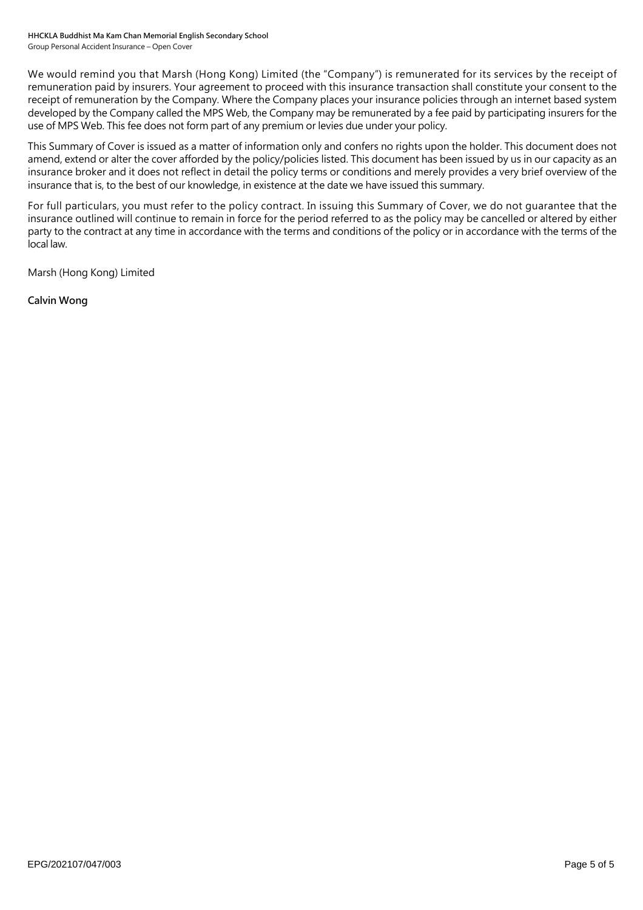We would remind you that Marsh (Hong Kong) Limited (the "Company") is remunerated for its services by the receipt of remuneration paid by insurers. Your agreement to proceed with this insurance transaction shall constitute your consent to the receipt of remuneration by the Company. Where the Company places your insurance policies through an internet based system developed by the Company called the MPS Web, the Company may be remunerated by a fee paid by participating insurers for the use of MPS Web. This fee does not form part of any premium or levies due under your policy.

This Summary of Cover is issued as a matter of information only and confers no rights upon the holder. This document does not amend, extend or alter the cover afforded by the policy/policies listed. This document has been issued by us in our capacity as an insurance broker and it does not reflect in detail the policy terms or conditions and merely provides a very brief overview of the insurance that is, to the best of our knowledge, in existence at the date we have issued this summary.

For full particulars, you must refer to the policy contract. In issuing this Summary of Cover, we do not guarantee that the insurance outlined will continue to remain in force for the period referred to as the policy may be cancelled or altered by either party to the contract at any time in accordance with the terms and conditions of the policy or in accordance with the terms of the local law.

Marsh (Hong Kong) Limited

**Calvin Wong**